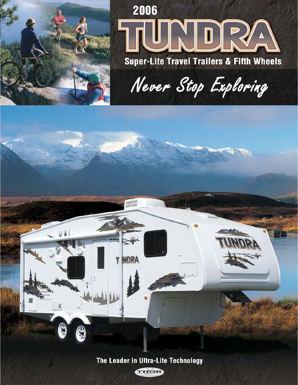

山基

G

G

# 2006 INDRVA **Super-Lite Travel Trailers & Fifth Wheels**

Never Stop Exploring



T INDRA

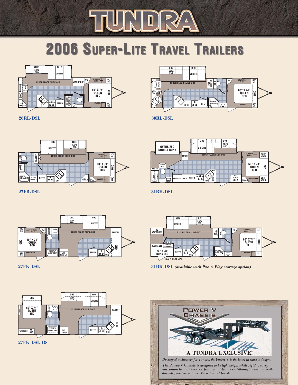# NDR TU **2006 SUPER-LITE TRAVEL TRAILERS**



**26RL-DSL**



**30RL-DSL**



**27FB-DSL**



**31BH-DSL**

**TV WARDROBE**

> **74" X 28" BUNK BED PANTRY DOUBLE BED OVERHEAD**

**OHC REFER SHOWER** 

**FLUSH FLOOR SLIDE-OUT**

**DINETTE**

**PAC-N-PLAY OPT.**

**OHC OHC**

**SOFA BED**

**31BK-DSL** *(available with Pac-n-Play storage option)*



**27FK-DSL**





**W/SKYLIGHT**

**ENT. CENTER OHC**

**SC**

**OHC**

**SC STORAGE PLUS TV**

**60" X 74" QUEEN BED**

**HAMPER**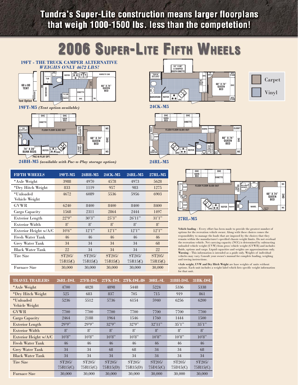**Tundra's Super-Lite construction means larger floorplans** that weigh 1000-1500 lbs. less than the competetion!

# **2006 SUPER-LITE FIFTH WHEELS**



**19FT-M5** *(Tent option available)*

Vehicle Weight



**24BH-M5** *(available with Pac-n-Play storage option)* **24RL-M5**

**FIFTH WHEELS 19FT-M5 24BH-M5 24CK-M5 24RL-M5 27RL-M5** \*Axle Weight 3988 4970 4578 4973 5628 \*Dry Hitch Weight 833 1119 957 983 1275 \*Unloaded 4672 6089 5536 5956 6903

GVWR 6240 8400 8400 8400 8400 Cargo Capacity 1568 2311 2864 2444 1497 Exterior Length 22'9" 30'3" 25'3" 26'11" 31'1" Exterior Width 8' 8' 8' 8' 8' 8' Exterior Height w/A/C 10'6" 12'1" 12'1" 12'1" 12'1" Fresh Water Tank  $46 \t 46 \t 46 \t 46 \t 46$ Grey Water Tank 34 34 34 34 34 68 Black Water Tank 22 34 34 34 22 Tire Size ST205/ ST205/ ST205/ ST205/ ST205/ ST205/

Furnace Size 30,000 30,000 30,000 30,000 30,000



**24CK-M5**





Carpet

Vinyl

#### **27RL-M5**

**Vehicle loading** – Every effort has been made to provide the greatest number of options for the recreation vehicle owner. Along with these choices comes the responsibility to manage the loads that are imposed by the choices that they remain within the manufacturer's specified chassis weight limits. Do not overload the recreation vehicle. Net carrying capacity (NCC) is determined by subtracting unloaded vehicle weight (UVW) from gross vehicle weight (GVWR) and includes fluids, options and cargo. Liquid capacities and weights are approximations only. **Warning** – This information is intended as a guide only. Weights of individual vehicles may vary. Consult your owner's manual for complete loading, weighing and towing instructions.

**\*Axle weight, UVW and Dry Hitch Weight** are base weights of units without options. Each unit includes a weight label which lists specific weight information for that unit.

| <b>TRAVEL TRAILERS</b>      | 26RL-DSL           | 27FB-DSL           | 27FK-DSL           | 27FK-DSL-BS                     | 30RL-SL                | 31BH-DSL           | 31BK-DSL           |
|-----------------------------|--------------------|--------------------|--------------------|---------------------------------|------------------------|--------------------|--------------------|
| *Axle Weight                | 4700               | 4828               | 4898               | 5448                            | 5224                   | 5336               | 5338               |
| *Dry Hitch Weight           | 525                | 683                | 837                | 705                             | 715                    | 919                | 861                |
| *Unloaded<br>Vehicle Weight | 5236               | 5512               | 5736               | 6154                            | 5940                   | 6256               | 6200               |
| <b>GVWR</b>                 | 7700               | 7700               | 7700               | 7700                            | 7700                   | 7700               | 7700               |
| Cargo Capacity              | 2464               | 2188               | 1964               | 1546                            | 1760                   | 1444               | 1500               |
| <b>Exterior Length</b>      | 29'9''             | 29'9''             | 32'9''             | 32'9''                          | $32^{\circ}11^{\circ}$ | 35'1''             | 35'1''             |
| <b>Exterior Width</b>       | $8^{\circ}$        | $8^{\circ}$        | $8^{\circ}$        | $8^{\circ}$                     | $8^{\circ}$            | $R^{\circ}$        | $8^{\circ}$        |
| Exterior Height w/A/C       | 10'8"              | 10'8"              | 10'8"              | 10'8"                           | 10'8"                  | 10'8"              | 10'8"              |
| <b>Fresh Water Tank</b>     | 46                 | 46                 | 46                 | 46                              | 46                     | 46                 | 46                 |
| <b>Grey Water Tank</b>      | 34                 | 34                 | 68                 | 68                              | 34                     | 34                 | 68                 |
| <b>Black Water Tank</b>     | 34                 | 34                 | 34                 | 34                              | 34                     | 34                 | 34                 |
| <b>Tire Size</b>            | ST205/<br>75R15(C) | ST205/<br>75R15(C) | ST205/<br>75R15(D) | ST <sub>205</sub> /<br>75R15(D) | ST205/<br>75D15(C)     | ST205/<br>75D15(C) | ST205/<br>75R15(C) |
| <b>Furnace Size</b>         | 30,000             | 30,000             | 30,000             | 30,000                          | 30,000                 | 30,000             | 30,000             |

75R15(C) 75R15(C) 75R15(C) 75R15(C) 75R15(C)